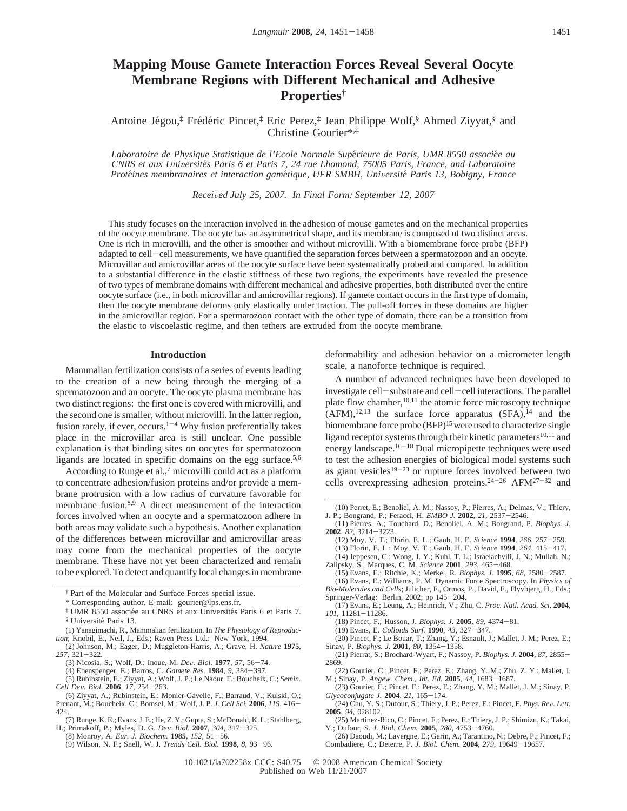# **Mapping Mouse Gamete Interaction Forces Reveal Several Oocyte Membrane Regions with Different Mechanical and Adhesive Properties†**

Antoine Jégou, $\ddot{\tau}$  Frédéric Pincet, $\ddot{\tau}$  Eric Perez, $\ddot{\tau}$  Jean Philippe Wolf,<sup>§</sup> Ahmed Ziyyat,§ and Christine Gourier\*,‡

*Laboratoire de Physique Statistique de l'Ecole Normale Supe*´*rieure de Paris, UMR 8550 associe*´*e au CNRS et aux Uni*V*ersite*´*s Paris 6 et Paris 7, 24 rue Lhomond, 75005 Paris, France, and Laboratoire Prote*´*ines membranaires et interaction game*´*tique, UFR SMBH, Uni*V*ersite*´ *Paris 13, Bobigny, France*

*Recei*V*ed July 25, 2007. In Final Form: September 12, 2007*

This study focuses on the interaction involved in the adhesion of mouse gametes and on the mechanical properties of the oocyte membrane. The oocyte has an asymmetrical shape, and its membrane is composed of two distinct areas. One is rich in microvilli, and the other is smoother and without microvilli. With a biomembrane force probe (BFP) adapted to cell-cell measurements, we have quantified the separation forces between a spermatozoon and an oocyte. Microvillar and amicrovillar areas of the oocyte surface have been systematically probed and compared. In addition to a substantial difference in the elastic stiffness of these two regions, the experiments have revealed the presence of two types of membrane domains with different mechanical and adhesive properties, both distributed over the entire oocyte surface (i.e., in both microvillar and amicrovillar regions). If gamete contact occurs in the first type of domain, then the oocyte membrane deforms only elastically under traction. The pull-off forces in these domains are higher in the amicrovillar region. For a spermatozoon contact with the other type of domain, there can be a transition from the elastic to viscoelastic regime, and then tethers are extruded from the oocyte membrane.

## **Introduction**

Mammalian fertilization consists of a series of events leading to the creation of a new being through the merging of a spermatozoon and an oocyte. The oocyte plasma membrane has two distinct regions: the first one is covered with microvilli, and the second one is smaller, without microvilli. In the latter region, fusion rarely, if ever, occurs.<sup>1-4</sup> Why fusion preferentially takes place in the microvillar area is still unclear. One possible explanation is that binding sites on oocytes for spermatozoon ligands are located in specific domains on the egg surface.<sup>5,6</sup>

According to Runge et al., $7$  microvilli could act as a platform to concentrate adhesion/fusion proteins and/or provide a membrane protrusion with a low radius of curvature favorable for membrane fusion.8,9 A direct measurement of the interaction forces involved when an oocyte and a spermatozoon adhere in both areas may validate such a hypothesis. Another explanation of the differences between microvillar and amicrovillar areas may come from the mechanical properties of the oocyte membrane. These have not yet been characterized and remain to be explored. To detect and quantify local changes in membrane

- 257, 321–322.<br>
(3) Nicosia, S.; Wolf, D.; Inoue, M. Dev. Biol. **1977**, 57, 56–74.
	- (4) Ebenspenger, E.; Barros, C. Gamete Res. 1984, 9, 384-397.

(6) Ziyyat, A.; Rubinstein, E.; Monier-Gavelle, F.; Barraud, V.; Kulski, O.; Prenant, M.; Boucheix, C.; Bomsel, M.; Wolf, J. P. *J. Cell Sci.* **<sup>2006</sup>**, *<sup>119</sup>*, 416- 424.

deformability and adhesion behavior on a micrometer length scale, a nanoforce technique is required.

A number of advanced techniques have been developed to investigate cell-substrate and cell-cell interactions. The parallel plate flow chamber,  $10,11$  the atomic force microscopy technique  $(AFM)$ ,  $^{12,13}$  the surface force apparatus  $(SFA)$ ,  $^{14}$  and the biomembrane force probe (BFP)<sup>15</sup> were used to characterize single ligand receptor systems through their kinetic parameters $10,11$  and energy landscape.16-<sup>18</sup> Dual micropipette techniques were used to test the adhesion energies of biological model systems such as giant vesicles<sup>19-23</sup> or rupture forces involved between two cells overexpressing adhesion proteins.24-<sup>26</sup> AFM27-<sup>32</sup> and

(10) Perret, E.; Benoliel, A. M.; Nassoy, P.; Pierres, A.; Delmas, V.; Thiery, J. P.; Bongrand, P.; Feracci, H. *EMBO J.* **<sup>2002</sup>**, *<sup>21</sup>*, 2537-2546.

- (12) Moy, V. T.; Florin, E. L.; Gaub, H. E. *Science* **<sup>1994</sup>**, *<sup>266</sup>*, 257-259.
- (13) Florin, E. L.; Moy, V. T.; Gaub, H. E. *Science* **<sup>1994</sup>**, *<sup>264</sup>*, 415-417.
- (14) Jeppesen, C.; Wong, J. Y.; Kuhl, T. L.; Israelachvili, J. N.; Mullah, N.; Zalipsky, S.; Marques, C. M. *Science* **<sup>2001</sup>**, *<sup>293</sup>*, 465-468.
	- (15) Evans, E.; Ritchie, K.; Merkel, R. *Biophys. J.* **<sup>1995</sup>**, *<sup>68</sup>*, 2580-2587.
- (16) Evans, E.; Williams, P. M. Dynamic Force Spectroscopy. In *Physics of Bio-Molecules and Cells*; Julicher, F., Ormos, P., David, F., Flyvbjerg, H., Eds.; Springer-Verlag: Berlin, 2002; pp 145-204.
- (17) Evans, E.; Leung, A.; Heinrich, V.; Zhu, C. *Proc. Natl. Acad. Sci.* **2004**, *<sup>101</sup>*, 11281-11286.
	- (18) Pincet, F.; Husson, J. *Biophys. J.* **<sup>2005</sup>**, *<sup>89</sup>*, 4374-81.
	- (19) Evans, E. *Colloids Surf.* **<sup>1990</sup>**, *<sup>43</sup>*, 327-347.
- (20) Pincet, F.; Le Bouar, T.; Zhang, Y.; Esnault, J.; Mallet, J. M.; Perez, E.; Sinay, P. *Biophys. J.* **<sup>2001</sup>**, *<sup>80</sup>*, 1354-1358.
- (21) Pierrat, S.; Brochard-Wyart, F.; Nassoy, P. *Biophys. J.* **<sup>2004</sup>**, *<sup>87</sup>*, 2855- 2869.
- (22) Gourier, C.; Pincet, F.; Perez, E.; Zhang, Y. M.; Zhu, Z. Y.; Mallet, J. M.; Sinay, P. *Angew. Chem., Int. Ed.* **<sup>2005</sup>**, *<sup>44</sup>*, 1683-1687. (23) Gourier, C.; Pincet, F.; Perez, E.; Zhang, Y. M.; Mallet, J. M.; Sinay, P.
- 
- *Glycoconjugate J.* **<sup>2004</sup>**, *<sup>21</sup>*, 165-174. (24) Chu, Y. S.; Dufour, S.; Thiery, J. P.; Perez, E.; Pincet, F. *Phys. Re*V*. Lett.* **2005**, *94*, 028102.
- (25) Martinez-Rico, C.; Pincet, F.; Perez, E.; Thiery, J. P.; Shimizu, K.; Takai, Y.; Dufour, S. *J. Biol. Chem.* **<sup>2005</sup>**, *<sup>280</sup>*, 4753-4760.
- (26) Daoudi, M.; Lavergne, E.; Garin, A.; Tarantino, N.; Debre, P.; Pincet, F.; Combadiere, C.; Deterre, P. *J. Biol. Chem.* **<sup>2004</sup>**, *<sup>279</sup>*, 19649-19657.

10.1021/la702258x CCC: \$40.75 © 2008 American Chemical Society Published on Web 11/21/2007

<sup>†</sup> Part of the Molecular and Surface Forces special issue.

<sup>\*</sup> Corresponding author. E-mail: gourier@lps.ens.fr.

<sup>&</sup>lt;sup>‡</sup> UMR 8550 associée au CNRS et aux Universités Paris 6 et Paris 7. § Université Paris 13.

<sup>(1)</sup> Yanagimachi, R., Mammalian fertilization. In *The Physiology of Reproduction*; Knobil, E., Neil, J., Eds.; Raven Press Ltd.: New York, 1994.

<sup>(2)</sup> Johnson, M.; Eager, D.; Muggleton-Harris, A.; Grave, H. *Nature* **1975**,

<sup>(4)</sup> Ebenspenger, E.; Barros, C. *Gamete Res.* **<sup>1984</sup>**, *<sup>9</sup>*, 384-397. (5) Rubinstein, E.; Ziyyat, A.; Wolf, J. P.; Le Naour, F.; Boucheix, C.; *Semin. Cell De*V*. Biol.* **<sup>2006</sup>**, *<sup>17</sup>*, 254-263.

<sup>(7)</sup> Runge, K. E.; Evans, J. E.; He, Z. Y.; Gupta, S.; McDonald, K. L.; Stahlberg, H.; Primakoff, P.; Myles, D. G. *De*V*. Biol.* **<sup>2007</sup>**, *<sup>304</sup>*, 317-325.

<sup>(8)</sup> Monroy, A. *Eur. J. Biochem.* **<sup>1985</sup>**, *<sup>152</sup>*, 51-56.

<sup>(9)</sup> Wilson, N. F.; Snell, W. J. *Trends Cell. Biol.* **<sup>1998</sup>**, *<sup>8</sup>*, 93-96.

<sup>(11)</sup> Pierres, A.; Touchard, D.; Benoliel, A. M.; Bongrand, P. *Biophys. J.* **<sup>2002</sup>**, *<sup>82</sup>*, 3214-3223.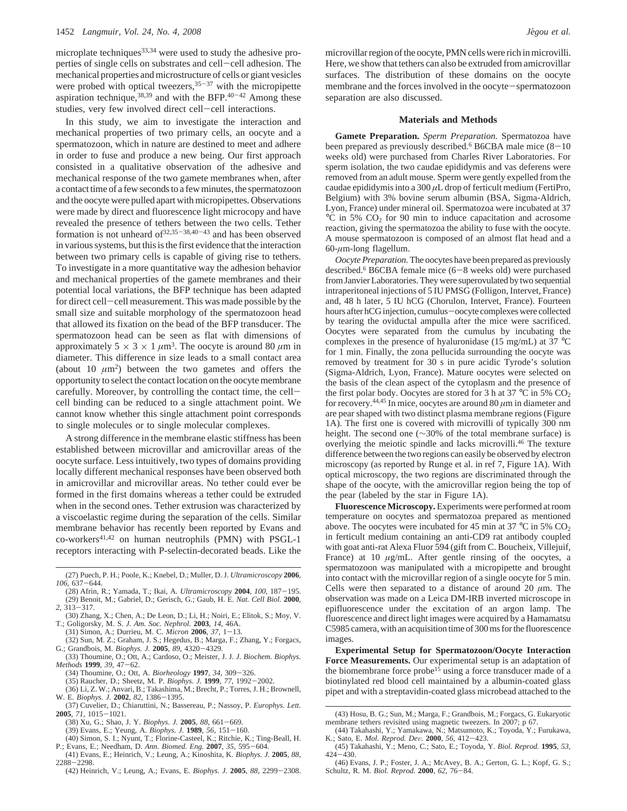microplate techniques<sup>33,34</sup> were used to study the adhesive properties of single cells on substrates and cell-cell adhesion. The mechanical properties and microstructure of cells or giant vesicles were probed with optical tweezers,  $35-37$  with the micropipette aspiration technique,  $38,39$  and with the BFP. $40-42$  Among these studies, very few involved direct cell-cell interactions.

In this study, we aim to investigate the interaction and mechanical properties of two primary cells, an oocyte and a spermatozoon, which in nature are destined to meet and adhere in order to fuse and produce a new being. Our first approach consisted in a qualitative observation of the adhesive and mechanical response of the two gamete membranes when, after a contact time of a few seconds to a few minutes, the spermatozoon and the oocyte were pulled apart with micropipettes. Observations were made by direct and fluorescence light microcopy and have revealed the presence of tethers between the two cells. Tether formation is not unheard of  $32,35-38,40-43$  and has been observed in various systems, but this is the first evidence that the interaction between two primary cells is capable of giving rise to tethers. To investigate in a more quantitative way the adhesion behavior and mechanical properties of the gamete membranes and their potential local variations, the BFP technique has been adapted for direct cell-cell measurement. This was made possible by the small size and suitable morphology of the spermatozoon head that allowed its fixation on the bead of the BFP transducer. The spermatozoon head can be seen as flat with dimensions of approximately  $5 \times 3 \times 1 \mu m^3$ . The oocyte is around 80  $\mu m$  in diameter. This difference in size leads to a small contact area (about 10  $\mu$ m<sup>2</sup>) between the two gametes and offers the opportunity to select the contact location on the oocyte membrane carefully. Moreover, by controlling the contact time, the cellcell binding can be reduced to a single attachment point. We cannot know whether this single attachment point corresponds to single molecules or to single molecular complexes.

A strong difference in the membrane elastic stiffness has been established between microvillar and amicrovillar areas of the oocyte surface. Less intuitively, two types of domains providing locally different mechanical responses have been observed both in amicrovillar and microvillar areas. No tether could ever be formed in the first domains whereas a tether could be extruded when in the second ones. Tether extrusion was characterized by a viscoelastic regime during the separation of the cells. Similar membrane behavior has recently been reported by Evans and co-workers41,42 on human neutrophils (PMN) with PSGL-1 receptors interacting with P-selectin-decorated beads. Like the

- (27) Puech, P. H.; Poole, K.; Knebel, D.; Muller, D. J. *Ultramicroscopy* **2006**, *<sup>106</sup>*, 637-644.
- (28) Afrin, R.; Yamada, T.; Ikai, A. *Ultramicroscopy* **<sup>2004</sup>**, *<sup>100</sup>*, 187-195. (29) Benoit, M.; Gabriel, D.; Gerisch, G.; Gaub, H. E. *Nat. Cell Biol.* **2000**, *<sup>2</sup>*, 313-317.
- (30) Zhang, X.; Chen, A.; De Leon, D.; Li, H.; Noiri, E.; Elitok, S.; Moy, V. T.; Goligorsky, M. S. *J. Am. Soc. Nephrol.* **2003**, *14*, 46A. (31) Simon, A.; Durrieu, M. C. *Micron* **<sup>2006</sup>**, *<sup>37</sup>*, 1-13.
- 
- (32) Sun, M. Z.; Graham, J. S.; Hegedus, B.; Marga, F.; Zhang, Y.; Forgacs, G.; Grandbois, M. *Biophys. J.* **<sup>2005</sup>**, *<sup>89</sup>*, 4320-4329.
- (33) Thoumine, O.; Ott, A.; Cardoso, O.; Meister, J. J. *J. Biochem. Biophys.*
- *Methods* **<sup>1999</sup>**, *<sup>39</sup>*, 47-62.
	- (34) Thoumine, O.; Ott, A. *Biorheology* **<sup>1997</sup>**, *<sup>34</sup>*, 309-326. (35) Raucher, D.; Sheetz, M. P. *Biophys. J.* **<sup>1999</sup>**, *<sup>77</sup>*, 1992-2002.
- (36) Li, Z. W.; Anvari, B.; Takashima, M.; Brecht, P.; Torres, J. H.; Brownell, W. E. *Biophys. J.* **<sup>2002</sup>**, *<sup>82</sup>*, 1386-1395.
- (37) Cuvelier, D.; Chiaruttini, N.; Bassereau, P.; Nassoy, P. *Europhys. Lett.* **<sup>2005</sup>**, *<sup>71</sup>*, 1015-1021.
	-
	- (38) Xu, G.; Shao, J. Y. *Biophys. J.* **<sup>2005</sup>**, *<sup>88</sup>*, 661-669.
- (39) Evans, E.; Yeung, A. *Biophys. J.* **<sup>1989</sup>**, *<sup>56</sup>*, 151-160. (40) Simon, S. I.; Nyunt, T.; Florine-Casteel, K.; Ritchie, K.; Ting-Beall, H.
- P.; Evans, E.; Needham, D. *Ann. Biomed. Eng.* **<sup>2007</sup>**, *<sup>35</sup>*, 595-604. (41) Evans, E.; Heinrich, V.; Leung, A.; Kinoshita, K. *Biophys. J.* **2005**, *88*, <sup>2288</sup>-2298.
- (42) Heinrich, V.; Leung, A.; Evans, E. *Biophys. J.* **<sup>2005</sup>**, *<sup>88</sup>*, 2299-2308.

microvillar region of the oocyte, PMN cells were rich in microvilli. Here, we show that tethers can also be extruded from amicrovillar surfaces. The distribution of these domains on the oocyte membrane and the forces involved in the oocyte-spermatozoon separation are also discussed.

#### **Materials and Methods**

**Gamete Preparation.** *Sperm Preparation.* Spermatozoa have been prepared as previously described.<sup>6</sup> B6CBA male mice  $(8-10)$ weeks old) were purchased from Charles River Laboratories. For sperm isolation, the two caudae epididymis and vas deferens were removed from an adult mouse. Sperm were gently expelled from the caudae epididymis into a 300 *µ*L drop of ferticult medium (FertiPro, Belgium) with 3% bovine serum albumin (BSA, Sigma-Aldrich, Lyon, France) under mineral oil. Spermatozoa were incubated at 37  $\rm{^{\circ}C}$  in 5% CO<sub>2</sub> for 90 min to induce capacitation and acrosome reaction, giving the spermatozoa the ability to fuse with the oocyte. A mouse spermatozoon is composed of an almost flat head and a 60-*µ*m-long flagellum.

*Oocyte Preparation.*The oocytes have been prepared as previously described.<sup>6</sup> B6CBA female mice (6-8 weeks old) were purchased from Janvier Laboratories. They were superovulated by two sequential intraperitoneal injections of 5 IU PMSG (Folligon, Intervet, France) and, 48 h later, 5 IU hCG (Chorulon, Intervet, France). Fourteen hours after hCG injection, cumulus-oocyte complexes were collected by tearing the oviductal ampulla after the mice were sacrificed. Oocytes were separated from the cumulus by incubating the complexes in the presence of hyaluronidase (15 mg/mL) at 37 °C for 1 min. Finally, the zona pellucida surrounding the oocyte was removed by treatment for 30 s in pure acidic Tyrode's solution (Sigma-Aldrich, Lyon, France). Mature oocytes were selected on the basis of the clean aspect of the cytoplasm and the presence of the first polar body. Oocytes are stored for 3 h at 37  $\rm{°C}$  in 5%  $\rm{CO}_{2}$ for recovery.<sup>44,45</sup> In mice, oocytes are around 80  $\mu$ m in diameter and are pear shaped with two distinct plasma membrane regions (Figure 1A). The first one is covered with microvilli of typically 300 nm height. The second one (∼30% of the total membrane surface) is overlying the meiotic spindle and lacks microvilli.46 The texture difference between the two regions can easily be observed by electron microscopy (as reported by Runge et al. in ref 7, Figure 1A). With optical microscopy, the two regions are discriminated through the shape of the oocyte, with the amicrovillar region being the top of the pear (labeled by the star in Figure 1A).

**Fluorescence Microscopy.** Experiments were performed at room temperature on oocytes and spermatozoa prepared as mentioned above. The oocytes were incubated for 45 min at 37  $\rm{^{\circ}C}$  in 5%  $\rm{CO_{2}}$ in ferticult medium containing an anti-CD9 rat antibody coupled with goat anti-rat Alexa Fluor 594 (gift from C. Boucheix, Villejuif, France) at 10  $\mu$ g/mL. After gentle rinsing of the oocytes, a spermatozoon was manipulated with a micropipette and brought into contact with the microvillar region of a single oocyte for 5 min. Cells were then separated to a distance of around 20  $\mu$ m. The observation was made on a Leica DM-IRB inverted microscope in epifluorescence under the excitation of an argon lamp. The fluorescence and direct light images were acquired by a Hamamatsu C5985 camera, with an acquisition time of 300 ms for the fluorescence images.

**Experimental Setup for Spermatozoon/Oocyte Interaction Force Measurements.** Our experimental setup is an adaptation of the biomembrane force probe<sup>15</sup> using a force transducer made of a biotinylated red blood cell maintained by a albumin-coated glass pipet and with a streptavidin-coated glass microbead attached to the

<sup>424</sup>-430. (46) Evans, J. P.; Foster, J. A.; McAvey, B. A.; Gerton, G. L.; Kopf, G. S.; Schultz, R. M. *Biol. Reprod.* **<sup>2000</sup>**, *<sup>62</sup>*, 76-84.

<sup>(43)</sup> Hosu, B. G.; Sun, M.; Marga, F.; Grandbois, M.; Forgacs, G. Eukaryotic membrane tethers revisited using magnetic tweezers. In 2007; p 67.

<sup>(44)</sup> Takahashi, Y.; Yamakawa, N.; Matsumoto, K.; Toyoda, Y.; Furukawa, K.; Sato, E. *Mol. Reprod. Dev.* 2000, 56, 412-423. K.; Sato, E. *Mol. Reprod. De*V*.* **<sup>2000</sup>**, *<sup>56</sup>*, 412-423. (45) Takahashi, Y.; Meno, C.; Sato, E.; Toyoda, Y. *Biol. Reprod.* **1995**, *53*,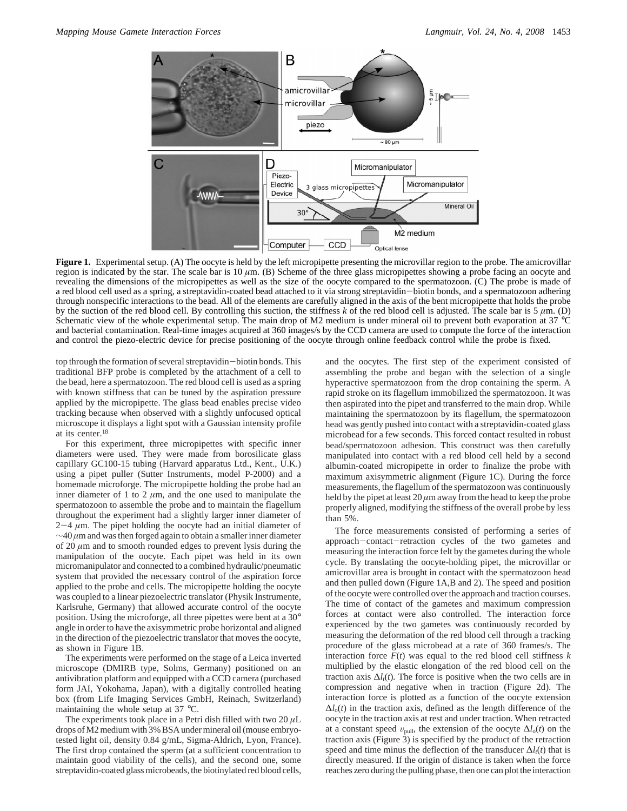

Figure 1. Experimental setup. (A) The oocyte is held by the left micropipette presenting the microvillar region to the probe. The amicrovillar region is indicated by the star. The scale bar is 10 *µ*m. (B) Scheme of the three glass micropipettes showing a probe facing an oocyte and revealing the dimensions of the micropipettes as well as the size of the oocyte compared to the spermatozoon. (C) The probe is made of a red blood cell used as a spring, a streptavidin-coated bead attached to it via strong streptavidin-biotin bonds, and a spermatozoon adhering through nonspecific interactions to the bead. All of the elements are carefully aligned in the axis of the bent micropipette that holds the probe by the suction of the red blood cell. By controlling this suction, the stiffness  $k$  of the red blood cell is adjusted. The scale bar is 5  $\mu$ m. (D) Schematic view of the whole experimental setup. The main drop of M2 medium is under mineral oil to prevent both evaporation at 37 °C and bacterial contamination. Real-time images acquired at 360 images/s by the CCD camera are used to compute the force of the interaction and control the piezo-electric device for precise positioning of the oocyte through online feedback control while the probe is fixed.

top through the formation of several streptavidin-biotin bonds. This traditional BFP probe is completed by the attachment of a cell to the bead, here a spermatozoon. The red blood cell is used as a spring with known stiffness that can be tuned by the aspiration pressure applied by the micropipette. The glass bead enables precise video tracking because when observed with a slightly unfocused optical microscope it displays a light spot with a Gaussian intensity profile at its center.18

For this experiment, three micropipettes with specific inner diameters were used. They were made from borosilicate glass capillary GC100-15 tubing (Harvard apparatus Ltd., Kent., U.K.) using a pipet puller (Sutter Instruments, model P-2000) and a homemade microforge. The micropipette holding the probe had an inner diameter of 1 to 2  $\mu$ m, and the one used to manipulate the spermatozoon to assemble the probe and to maintain the flagellum throughout the experiment had a slightly larger inner diameter of  $2-4 \mu m$ . The pipet holding the oocyte had an initial diameter of ∼40 *µ*m and was then forged again to obtain a smaller inner diameter of 20 *µ*m and to smooth rounded edges to prevent lysis during the manipulation of the oocyte. Each pipet was held in its own micromanipulator and connected to a combined hydraulic/pneumatic system that provided the necessary control of the aspiration force applied to the probe and cells. The micropipette holding the oocyte was coupled to a linear piezoelectric translator (Physik Instrumente, Karlsruhe, Germany) that allowed accurate control of the oocyte position. Using the microforge, all three pipettes were bent at a 30° angle in order to have the axisymmetric probe horizontal and aligned in the direction of the piezoelectric translator that moves the oocyte, as shown in Figure 1B.

The experiments were performed on the stage of a Leica inverted microscope (DMIRB type, Solms, Germany) positioned on an antivibration platform and equipped with a CCD camera (purchased form JAI, Yokohama, Japan), with a digitally controlled heating box (from Life Imaging Services GmbH, Reinach, Switzerland) maintaining the whole setup at 37 °C.

The experiments took place in a Petri dish filled with two 20 *µ*L drops of M2 medium with 3% BSA under mineral oil (mouse embryotested light oil, density 0.84 g/mL, Sigma-Aldrich, Lyon, France). The first drop contained the sperm (at a sufficient concentration to maintain good viability of the cells), and the second one, some streptavidin-coated glass microbeads, the biotinylated red blood cells, and the oocytes. The first step of the experiment consisted of assembling the probe and began with the selection of a single hyperactive spermatozoon from the drop containing the sperm. A rapid stroke on its flagellum immobilized the spermatozoon. It was then aspirated into the pipet and transferred to the main drop. While maintaining the spermatozoon by its flagellum, the spermatozoon head was gently pushed into contact with a streptavidin-coated glass microbead for a few seconds. This forced contact resulted in robust bead/spermatozoon adhesion. This construct was then carefully manipulated into contact with a red blood cell held by a second albumin-coated micropipette in order to finalize the probe with maximum axisymmetric alignment (Figure 1C). During the force measurements, the flagellum of the spermatozoon was continuously held by the pipet at least  $20 \mu m$  away from the head to keep the probe properly aligned, modifying the stiffness of the overall probe by less than 5%.

The force measurements consisted of performing a series of approach-contact-retraction cycles of the two gametes and measuring the interaction force felt by the gametes during the whole cycle. By translating the oocyte-holding pipet, the microvillar or amicrovillar area is brought in contact with the spermatozoon head and then pulled down (Figure 1A,B and 2). The speed and position of the oocyte were controlled over the approach and traction courses. The time of contact of the gametes and maximum compression forces at contact were also controlled. The interaction force experienced by the two gametes was continuously recorded by measuring the deformation of the red blood cell through a tracking procedure of the glass microbead at a rate of 360 frames/s. The interaction force  $F(t)$  was equal to the red blood cell stiffness  $k$ multiplied by the elastic elongation of the red blood cell on the traction axis  $\Delta l_t(t)$ . The force is positive when the two cells are in compression and negative when in traction (Figure 2d). The interaction force is plotted as a function of the oocyte extension  $\Delta l_0(t)$  in the traction axis, defined as the length difference of the oocyte in the traction axis at rest and under traction. When retracted at a constant speed  $v_{\text{pull}}$ , the extension of the oocyte  $\Delta l_o(t)$  on the traction axis (Figure 3) is specified by the product of the retraction speed and time minus the deflection of the transducer  $\Delta l_t(t)$  that is directly measured. If the origin of distance is taken when the force reaches zero during the pulling phase, then one can plot the interaction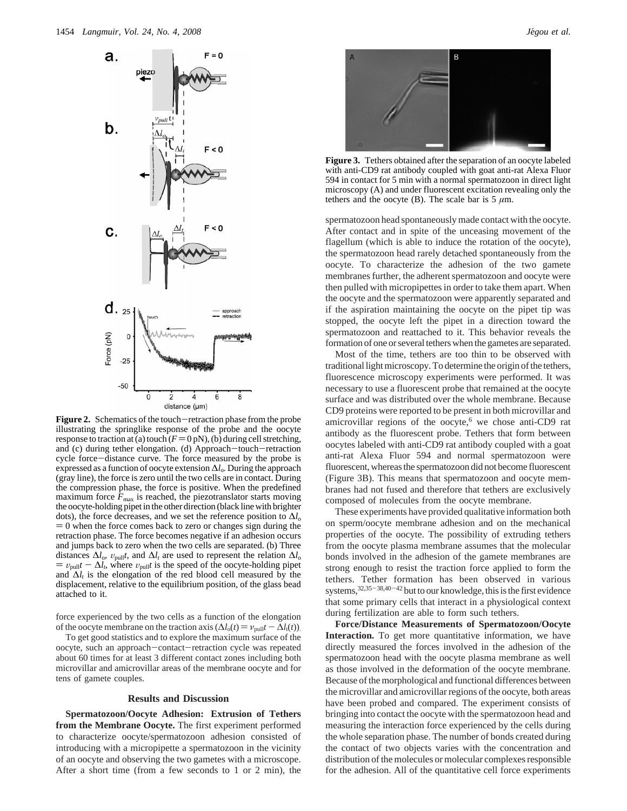

Figure 2. Schematics of the touch-retraction phase from the probe illustrating the springlike response of the probe and the oocyte response to traction at (a) touch  $(F = 0 pN)$ , (b) during cell stretching, and (c) during tether elongation. (d) Approach-touch-retraction cycle force-distance curve. The force measured by the probe is expressed as a function of oocyte extension ∆*l*o*.* During the approach (gray line), the force is zero until the two cells are in contact. During the compression phase, the force is positive. When the predefined maximum force  $\bar{F}_{\text{max}}$  is reached, the piezotranslator starts moving the oocyte-holding pipet in the other direction (black line with brighter dots), the force decreases, and we set the reference position to  $\Delta l_0$  $= 0$  when the force comes back to zero or changes sign during the retraction phase. The force becomes negative if an adhesion occurs and jumps back to zero when the two cells are separated. (b) Three distances  $\Delta l_o$ ,  $v_{\text{pull}}t$ , and  $\Delta l_t$  are used to represent the relation  $\Delta l_o$  $= v_{\text{pull}}t - \Delta l_t$ , where  $v_{\text{pull}}t$  is the speed of the oocyte-holding pipet and  $\Delta l_t$  is the elongation of the red blood cell measured by the displacement, relative to the equilibrium position, of the glass bead attached to it.

force experienced by the two cells as a function of the elongation of the oocyte membrane on the traction axis  $(\Delta l_0(t) = v_{\text{pull}}t - \Delta l_1(t))$ .

To get good statistics and to explore the maximum surface of the oocyte, such an approach-contact-retraction cycle was repeated about 60 times for at least 3 different contact zones including both microvillar and amicrovillar areas of the membrane oocyte and for tens of gamete couples.

### **Results and Discussion**

**Spermatozoon/Oocyte Adhesion: Extrusion of Tethers from the Membrane Oocyte.** The first experiment performed to characterize oocyte/spermatozoon adhesion consisted of introducing with a micropipette a spermatozoon in the vicinity of an oocyte and observing the two gametes with a microscope. After a short time (from a few seconds to 1 or 2 min), the



**Figure 3.** Tethers obtained after the separation of an oocyte labeled with anti-CD9 rat antibody coupled with goat anti-rat Alexa Fluor 594 in contact for 5 min with a normal spermatozoon in direct light microscopy (A) and under fluorescent excitation revealing only the tethers and the oocyte (B). The scale bar is  $5 \mu m$ .

spermatozoon head spontaneously made contact with the oocyte. After contact and in spite of the unceasing movement of the flagellum (which is able to induce the rotation of the oocyte), the spermatozoon head rarely detached spontaneously from the oocyte. To characterize the adhesion of the two gamete membranes further, the adherent spermatozoon and oocyte were then pulled with micropipettes in order to take them apart. When the oocyte and the spermatozoon were apparently separated and if the aspiration maintaining the oocyte on the pipet tip was stopped, the oocyte left the pipet in a direction toward the spermatozoon and reattached to it. This behavior reveals the formation of one or several tethers when the gametes are separated.

Most of the time, tethers are too thin to be observed with traditional light microscopy. To determine the origin of the tethers, fluorescence microscopy experiments were performed. It was necessary to use a fluorescent probe that remained at the oocyte surface and was distributed over the whole membrane. Because CD9 proteins were reported to be present in both microvillar and amicrovillar regions of the oocyte,<sup>6</sup> we chose anti-CD9 rat antibody as the fluorescent probe. Tethers that form between oocytes labeled with anti-CD9 rat antibody coupled with a goat anti-rat Alexa Fluor 594 and normal spermatozoon were fluorescent, whereas the spermatozoon did not become fluorescent (Figure 3B). This means that spermatozoon and oocyte membranes had not fused and therefore that tethers are exclusively composed of molecules from the oocyte membrane.

These experiments have provided qualitative information both on sperm/oocyte membrane adhesion and on the mechanical properties of the oocyte. The possibility of extruding tethers from the oocyte plasma membrane assumes that the molecular bonds involved in the adhesion of the gamete membranes are strong enough to resist the traction force applied to form the tethers. Tether formation has been observed in various systems,  $32,35-38,40-42$  but to our knowledge, this is the first evidence that some primary cells that interact in a physiological context during fertilization are able to form such tethers.

**Force/Distance Measurements of Spermatozoon/Oocyte Interaction.** To get more quantitative information, we have directly measured the forces involved in the adhesion of the spermatozoon head with the oocyte plasma membrane as well as those involved in the deformation of the oocyte membrane. Because of the morphological and functional differences between the microvillar and amicrovillar regions of the oocyte, both areas have been probed and compared. The experiment consists of bringing into contact the oocyte with the spermatozoon head and measuring the interaction force experienced by the cells during the whole separation phase. The number of bonds created during the contact of two objects varies with the concentration and distribution of the molecules or molecular complexes responsible for the adhesion. All of the quantitative cell force experiments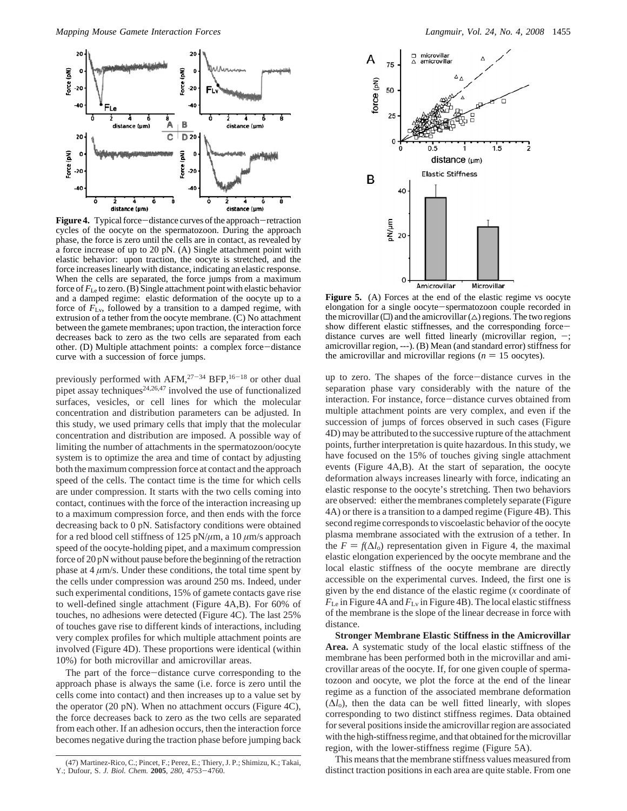

Figure 4. Typical force-distance curves of the approach-retraction cycles of the oocyte on the spermatozoon. During the approach phase, the force is zero until the cells are in contact, as revealed by a force increase of up to 20 pN. (A) Single attachment point with elastic behavior: upon traction, the oocyte is stretched, and the force increases linearly with distance, indicating an elastic response. When the cells are separated, the force jumps from a maximum force of  $F_{\rm Le}$  to zero. (B) Single attachment point with elastic behavior and a damped regime: elastic deformation of the oocyte up to a force of  $\overline{F}_{Lv}$ , followed by a transition to a damped regime, with extrusion of a tether from the oocyte membrane. (C) No attachment between the gamete membranes; upon traction, the interaction force decreases back to zero as the two cells are separated from each other. (D) Multiple attachment points: a complex force-distance curve with a succession of force jumps.

previously performed with AFM, $27-34$  BFP, $16-18$  or other dual pipet assay techniques<sup>24,26,47</sup> involved the use of functionalized surfaces, vesicles, or cell lines for which the molecular concentration and distribution parameters can be adjusted. In this study, we used primary cells that imply that the molecular concentration and distribution are imposed. A possible way of limiting the number of attachments in the spermatozoon/oocyte system is to optimize the area and time of contact by adjusting both the maximum compression force at contact and the approach speed of the cells. The contact time is the time for which cells are under compression. It starts with the two cells coming into contact, continues with the force of the interaction increasing up to a maximum compression force, and then ends with the force decreasing back to 0 pN. Satisfactory conditions were obtained for a red blood cell stiffness of 125 pN/*µ*m, a 10 *µ*m/s approach speed of the oocyte-holding pipet, and a maximum compression force of 20 pN without pause before the beginning of the retraction phase at  $4 \mu m/s$ . Under these conditions, the total time spent by the cells under compression was around 250 ms. Indeed, under such experimental conditions, 15% of gamete contacts gave rise to well-defined single attachment (Figure 4A,B). For 60% of touches, no adhesions were detected (Figure 4C). The last 25% of touches gave rise to different kinds of interactions, including very complex profiles for which multiple attachment points are involved (Figure 4D). These proportions were identical (within 10%) for both microvillar and amicrovillar areas.

The part of the force-distance curve corresponding to the approach phase is always the same (i.e. force is zero until the cells come into contact) and then increases up to a value set by the operator (20 pN). When no attachment occurs (Figure 4C), the force decreases back to zero as the two cells are separated from each other. If an adhesion occurs, then the interaction force becomes negative during the traction phase before jumping back



**Figure 5.** (A) Forces at the end of the elastic regime vs oocyte elongation for a single oocyte-spermatozoon couple recorded in the microvillar  $(\Box)$  and the amicrovillar  $(\triangle)$  regions. The two regions show different elastic stiffnesses, and the corresponding forcedistance curves are well fitted linearly (microvillar region, amicrovillar region, ---). (B) Mean (and standard error) stiffness for the amicrovillar and microvillar regions ( $n = 15$  oocytes).

up to zero. The shapes of the force-distance curves in the separation phase vary considerably with the nature of the interaction. For instance, force-distance curves obtained from multiple attachment points are very complex, and even if the succession of jumps of forces observed in such cases (Figure 4D) may be attributed to the successive rupture of the attachment points, further interpretation is quite hazardous. In this study, we have focused on the 15% of touches giving single attachment events (Figure 4A,B). At the start of separation, the oocyte deformation always increases linearly with force, indicating an elastic response to the oocyte's stretching. Then two behaviors are observed: either the membranes completely separate (Figure 4A) or there is a transition to a damped regime (Figure 4B). This second regime corresponds to viscoelastic behavior of the oocyte plasma membrane associated with the extrusion of a tether. In the  $F = f(\Delta l_0)$  representation given in Figure 4, the maximal elastic elongation experienced by the oocyte membrane and the local elastic stiffness of the oocyte membrane are directly accessible on the experimental curves. Indeed, the first one is given by the end distance of the elastic regime (*x* coordinate of *F*Le in Figure 4A and *F*Lv in Figure 4B). The local elastic stiffness of the membrane is the slope of the linear decrease in force with distance.

**Stronger Membrane Elastic Stiffness in the Amicrovillar Area.** A systematic study of the local elastic stiffness of the membrane has been performed both in the microvillar and amicrovillar areas of the oocyte. If, for one given couple of spermatozoon and oocyte, we plot the force at the end of the linear regime as a function of the associated membrane deformation  $(\Delta l_0)$ , then the data can be well fitted linearly, with slopes corresponding to two distinct stiffness regimes. Data obtained for several positions inside the amicrovillar region are associated with the high-stiffness regime, and that obtained for the microvillar region, with the lower-stiffness regime (Figure 5A).

This means that the membrane stiffness values measured from (47) Martinez-Rico, C.; Pincet, F.; Perez, E.; Thiery, J. P.; Shimizu, K.; Takai,<br>Dufour, S. J. Biol. Chem. 2005, 280, 4753–4760.<br>distinct traction positions in each area are quite stable. From one

Y.; Dufour, S. *J. Biol. Chem.* **<sup>2005</sup>**, *<sup>280</sup>*, 4753-4760.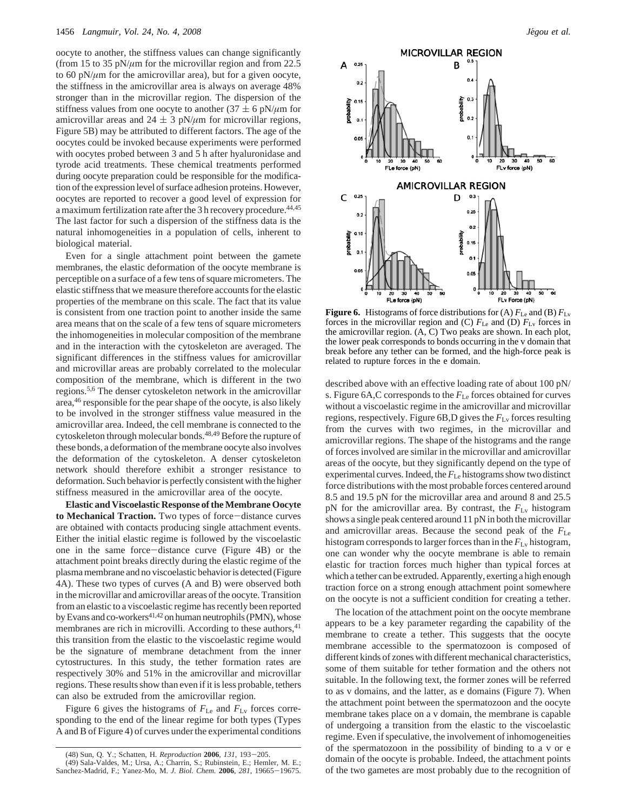oocyte to another, the stiffness values can change significantly (from 15 to 35 pN/*µ*m for the microvillar region and from 22.5 to 60 pN/*µ*m for the amicrovillar area), but for a given oocyte, the stiffness in the amicrovillar area is always on average 48% stronger than in the microvillar region. The dispersion of the stiffness values from one oocyte to another (37  $\pm$  6 pN/ $\mu$ m for amicrovillar areas and  $24 \pm 3$  pN/ $\mu$ m for microvillar regions, Figure 5B) may be attributed to different factors. The age of the oocytes could be invoked because experiments were performed with oocytes probed between 3 and 5 h after hyaluronidase and tyrode acid treatments. These chemical treatments performed during oocyte preparation could be responsible for the modification of the expression level of surface adhesion proteins. However, oocytes are reported to recover a good level of expression for a maximum fertilization rate after the 3 h recovery procedure.<sup>44,45</sup> The last factor for such a dispersion of the stiffness data is the natural inhomogeneities in a population of cells, inherent to biological material.

Even for a single attachment point between the gamete membranes, the elastic deformation of the oocyte membrane is perceptible on a surface of a few tens of square micrometers. The elastic stiffness that we measure therefore accounts for the elastic properties of the membrane on this scale. The fact that its value is consistent from one traction point to another inside the same area means that on the scale of a few tens of square micrometers the inhomogeneities in molecular composition of the membrane and in the interaction with the cytoskeleton are averaged. The significant differences in the stiffness values for amicrovillar and microvillar areas are probably correlated to the molecular composition of the membrane, which is different in the two regions.5,6 The denser cytoskeleton network in the amicrovillar area,46 responsible for the pear shape of the oocyte, is also likely to be involved in the stronger stiffness value measured in the amicrovillar area. Indeed, the cell membrane is connected to the cytoskeleton through molecular bonds.48,49 Before the rupture of these bonds, a deformation of the membrane oocyte also involves the deformation of the cytoskeleton. A denser cytoskeleton network should therefore exhibit a stronger resistance to deformation. Such behavior is perfectly consistent with the higher stiffness measured in the amicrovillar area of the oocyte.

**Elastic and Viscoelastic Response of the Membrane Oocyte** to Mechanical Traction. Two types of force-distance curves are obtained with contacts producing single attachment events. Either the initial elastic regime is followed by the viscoelastic one in the same force-distance curve (Figure 4B) or the attachment point breaks directly during the elastic regime of the plasma membrane and no viscoelastic behavior is detected (Figure 4A). These two types of curves (A and B) were observed both in the microvillar and amicrovillar areas of the oocyte. Transition from an elastic to a viscoelastic regime has recently been reported by Evans and co-workers<sup>41,42</sup> on human neutrophils (PMN), whose membranes are rich in microvilli. According to these authors, <sup>41</sup> this transition from the elastic to the viscoelastic regime would be the signature of membrane detachment from the inner cytostructures. In this study, the tether formation rates are respectively 30% and 51% in the amicrovillar and microvillar regions. These results show than even if it is less probable, tethers can also be extruded from the amicrovillar region.

Figure 6 gives the histograms of *F*Le and *F*Lv forces corresponding to the end of the linear regime for both types (Types A and B of Figure 4) of curves under the experimental conditions



**Figure 6.** Histograms of force distributions for (A)  $F_{\text{Le}}$  and (B)  $F_{\text{Lv}}$ forces in the microvillar region and (C)  $F_{\text{Le}}$  and (D)  $F_{\text{Lv}}$  forces in the amicrovillar region. (A, C) Two peaks are shown. In each plot, the lower peak corresponds to bonds occurring in the v domain that break before any tether can be formed, and the high-force peak is related to rupture forces in the e domain.

described above with an effective loading rate of about 100 pN/ s. Figure 6A,C corresponds to the *F*Le forces obtained for curves without a viscoelastic regime in the amicrovillar and microvillar regions, respectively. Figure 6B,D gives the *F*Lv forces resulting from the curves with two regimes, in the microvillar and amicrovillar regions. The shape of the histograms and the range of forces involved are similar in the microvillar and amicrovillar areas of the oocyte, but they significantly depend on the type of experimental curves. Indeed, the  $F_{\rm Le}$  histograms show two distinct force distributions with the most probable forces centered around 8.5 and 19.5 pN for the microvillar area and around 8 and 25.5 pN for the amicrovillar area. By contrast, the *F*Lv histogram shows a single peak centered around 11 pN in both the microvillar and amicrovillar areas. Because the second peak of the *F*Le histogram corresponds to larger forces than in the *F*Lv histogram, one can wonder why the oocyte membrane is able to remain elastic for traction forces much higher than typical forces at which a tether can be extruded. Apparently, exerting a high enough traction force on a strong enough attachment point somewhere on the oocyte is not a sufficient condition for creating a tether.

The location of the attachment point on the oocyte membrane appears to be a key parameter regarding the capability of the membrane to create a tether. This suggests that the oocyte membrane accessible to the spermatozoon is composed of different kinds of zones with different mechanical characteristics, some of them suitable for tether formation and the others not suitable. In the following text, the former zones will be referred to as v domains, and the latter, as e domains (Figure 7). When the attachment point between the spermatozoon and the oocyte membrane takes place on a v domain, the membrane is capable of undergoing a transition from the elastic to the viscoelastic regime. Even if speculative, the involvement of inhomogeneities of the spermatozoon in the possibility of binding to a v or e domain of the oocyte is probable. Indeed, the attachment points of the two gametes are most probably due to the recognition of

<sup>(48)</sup> Sun, Q. Y.; Schatten, H. *Reproduction* **<sup>2006</sup>**, *<sup>131</sup>*, 193-205. (49) Sala-Valdes, M.; Ursa, A.; Charrin, S.; Rubinstein, E.; Hemler, M. E.; Sanchez-Madrid, F.; Yanez-Mo, M. *J. Biol. Chem.* **<sup>2006</sup>**, *<sup>281</sup>*, 19665-19675.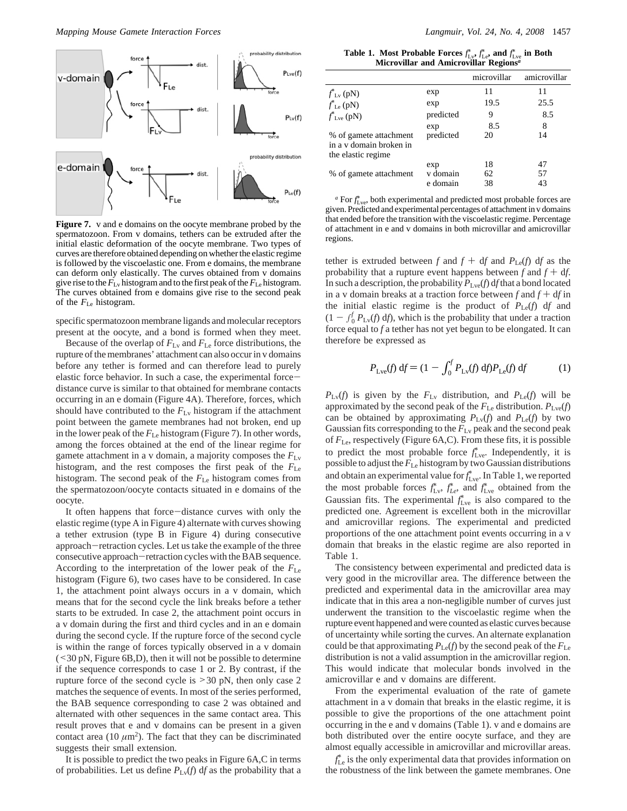

**Figure 7.** v and e domains on the oocyte membrane probed by the spermatozoon. From v domains, tethers can be extruded after the initial elastic deformation of the oocyte membrane. Two types of curves are therefore obtained depending on whether the elastic regime is followed by the viscoelastic one. From e domains, the membrane can deform only elastically. The curves obtained from v domains give rise to the  $F_{\text{Ly}}$  histogram and to the first peak of the  $F_{\text{Le}}$  histogram. The curves obtained from e domains give rise to the second peak of the *F*Le histogram.

specific spermatozoon membrane ligands and molecular receptors present at the oocyte, and a bond is formed when they meet.

Because of the overlap of  $F_{\text{Lv}}$  and  $F_{\text{Le}}$  force distributions, the rupture of the membranes' attachment can also occur in v domains before any tether is formed and can therefore lead to purely elastic force behavior. In such a case, the experimental forcedistance curve is similar to that obtained for membrane contacts occurring in an e domain (Figure 4A). Therefore, forces, which should have contributed to the  $F_{\text{Lv}}$  histogram if the attachment point between the gamete membranes had not broken, end up in the lower peak of the *F*Le histogram (Figure 7). In other words, among the forces obtained at the end of the linear regime for gamete attachment in a v domain, a majority composes the *F*Lv histogram, and the rest composes the first peak of the *F*Le histogram. The second peak of the *F*Le histogram comes from the spermatozoon/oocyte contacts situated in e domains of the oocyte.

It often happens that force-distance curves with only the elastic regime (type A in Figure 4) alternate with curves showing a tether extrusion (type B in Figure 4) during consecutive approach-retraction cycles. Let us take the example of the three consecutive approach-retraction cycles with the BAB sequence. According to the interpretation of the lower peak of the *F*Le histogram (Figure 6), two cases have to be considered. In case 1, the attachment point always occurs in a v domain, which means that for the second cycle the link breaks before a tether starts to be extruded. In case 2, the attachment point occurs in a v domain during the first and third cycles and in an e domain during the second cycle. If the rupture force of the second cycle is within the range of forces typically observed in a v domain  $(<$ 30 pN, Figure 6B,D), then it will not be possible to determine if the sequence corresponds to case 1 or 2. By contrast, if the rupture force of the second cycle is >30 pN, then only case 2 matches the sequence of events. In most of the series performed, the BAB sequence corresponding to case 2 was obtained and alternated with other sequences in the same contact area. This result proves that e and v domains can be present in a given contact area (10  $\mu$ m<sup>2</sup>). The fact that they can be discriminated suggests their small extension.

It is possible to predict the two peaks in Figure 6A,C in terms of probabilities. Let us define  $P_{\text{Lv}}(f)$  df as the probability that a

**Table 1.** Most Probable Forces  $f_{\text{L}v}^*$ ,  $f_{\text{L}e}^*$ , and  $f_{\text{L}ve}^*$  in Both **Microvillar and Amicrovillar Regions***<sup>a</sup>*

|                                                                         |           | microvillar | amicrovillar |
|-------------------------------------------------------------------------|-----------|-------------|--------------|
| $f_{\text{Lv}}^*(pN)$                                                   | exp       | 11          | 11           |
| $f_{\text{Le}}^*(pN)$                                                   | exp       | 19.5        | 25.5         |
| $f^*_{Lve}$ (pN)                                                        | predicted | 9           | 8.5          |
|                                                                         | exp       | 8.5         | 8            |
| % of gamete attachment<br>in a v domain broken in<br>the elastic regime | predicted | 20          | 14           |
|                                                                         | exp       | 18          | 47           |
| % of gamete attachment                                                  | v domain  | 62          | 57           |
|                                                                         | e domain  | 38          | 43           |

*a* For  $f_{\text{Lve}}^*$ , both experimental and predicted most probable forces are given. Predicted and experimental percentages of attachment in v domains that ended before the transition with the viscoelastic regime. Percentage of attachment in e and v domains in both microvillar and amicrovillar regions.

tether is extruded between *f* and  $f + df$  and  $P_{\text{Le}}(f) df$  as the probability that a rupture event happens between  $f$  and  $f + df$ . In such a description, the probability  $P_{Lve}(f)$  df that a bond located in a v domain breaks at a traction force between  $f$  and  $f + df$  in the initial elastic regime is the product of  $P_{\text{Le}}(f)$  df and  $(1 - \int_0^f P_{Lv}(f) df)$ , which is the probability that under a traction force equal to f a tether has not vet begun to be elongated. It can force equal to *f* a tether has not yet begun to be elongated. It can therefore be expressed as

$$
P_{\text{Lve}}(f) df = (1 - \int_0^f P_{\text{Lv}}(f) df) P_{\text{Le}}(f) df
$$
 (1)

 $P_{\text{Lv}}(f)$  is given by the  $F_{\text{Lv}}$  distribution, and  $P_{\text{Le}}(f)$  will be approximated by the second peak of the  $F_{\text{Le}}$  distribution.  $P_{\text{Lve}}(f)$ can be obtained by approximating  $P_{\text{Lv}}(f)$  and  $P_{\text{Le}}(f)$  by two Gaussian fits corresponding to the *F*Lv peak and the second peak of *F*Le, respectively (Figure 6A,C). From these fits, it is possible to predict the most probable force  $f_{\text{Lve}}^*$ . Independently, it is possible to adjust the *F*Le histogram by two Gaussian distributions and obtain an experimental value for  $f_{\text{Lve}}^*$ . In Table 1, we reported the most probable forces  $f_{\text{Lv}}^*$ ,  $f_{\text{Le}}^*$ , and  $f_{\text{Lve}}^*$  obtained from the Gaussian fits. The experimental  $f_{\text{Lve}}^*$  is also compared to the predicted one. Agreement is excellent both in the microvillar and amicrovillar regions. The experimental and predicted proportions of the one attachment point events occurring in a v domain that breaks in the elastic regime are also reported in Table 1.

The consistency between experimental and predicted data is very good in the microvillar area. The difference between the predicted and experimental data in the amicrovillar area may indicate that in this area a non-negligible number of curves just underwent the transition to the viscoelastic regime when the rupture event happened and were counted as elastic curves because of uncertainty while sorting the curves. An alternate explanation could be that approximating  $P_{\text{Le}}(f)$  by the second peak of the  $F_{\text{Le}}$ distribution is not a valid assumption in the amicrovillar region. This would indicate that molecular bonds involved in the amicrovillar e and v domains are different.

From the experimental evaluation of the rate of gamete attachment in a v domain that breaks in the elastic regime, it is possible to give the proportions of the one attachment point occurring in the e and v domains (Table 1). v and e domains are both distributed over the entire oocyte surface, and they are almost equally accessible in amicrovillar and microvillar areas.

 $f_{\rm Le}^*$  is the only experimental data that provides information on the robustness of the link between the gamete membranes. One